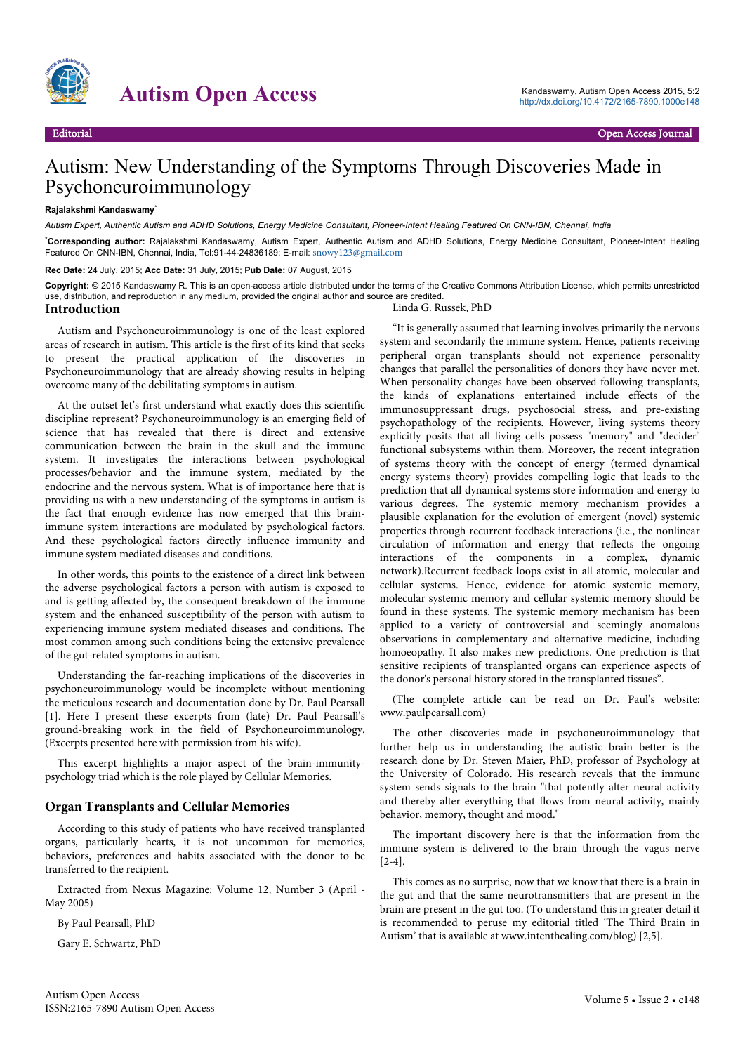

# Autism Open Access<br>
Autism Open Access 2015, 5:2<br>
Nutric://dx\_doi.org/10.4172/2165-7890.1000e148

# Autism: New Understanding of the Symptoms Through Discoveries Made in Psychoneuroimmunology

#### **Rajalakshmi Kandaswamy**\*

*Autism Expert, Authentic Autism and ADHD Solutions, Energy Medicine Consultant, Pioneer-Intent Healing Featured On CNN-IBN, Chennai, India*

\***Corresponding author:** Rajalakshmi Kandaswamy, Autism Expert, Authentic Autism and ADHD Solutions, Energy Medicine Consultant, Pioneer-Intent Healing Featured On CNN-IBN, Chennai, India, Tel:91-44-24836189; E-mail: [snowy123@gmail.com](mailto:snowy123@gmail.com)

**Rec Date:** 24 July, 2015; **Acc Date:** 31 July, 2015; **Pub Date:** 07 August, 2015

**Copyright:** © 2015 Kandaswamy R. This is an open-access article distributed under the terms of the Creative Commons Attribution License, which permits unrestricted use, distribution, and reproduction in any medium, provided the original author and source are credited.

# **Introduction**

Autism and Psychoneuroimmunology is one of the least explored areas of research in autism. This article is the first of its kind that seeks to present the practical application of the discoveries in Psychoneuroimmunology that are already showing results in helping overcome many of the debilitating symptoms in autism.

At the outset let's first understand what exactly does this scientific discipline represent? Psychoneuroimmunology is an emerging field of science that has revealed that there is direct and extensive communication between the brain in the skull and the immune system. It investigates the interactions between psychological processes/behavior and the immune system, mediated by the endocrine and the nervous system. What is of importance here that is providing us with a new understanding of the symptoms in autism is the fact that enough evidence has now emerged that this brainimmune system interactions are modulated by psychological factors. And these psychological factors directly influence immunity and immune system mediated diseases and conditions.

In other words, this points to the existence of a direct link between the adverse psychological factors a person with autism is exposed to and is getting affected by, the consequent breakdown of the immune system and the enhanced susceptibility of the person with autism to experiencing immune system mediated diseases and conditions. The most common among such conditions being the extensive prevalence of the gut-related symptoms in autism.

Understanding the far-reaching implications of the discoveries in psychoneuroimmunology would be incomplete without mentioning the meticulous research and documentation done by Dr. Paul Pearsall [1]. Here I present these excerpts from (late) Dr. Paul Pearsall's ground-breaking work in the field of Psychoneuroimmunology. (Excerpts presented here with permission from his wife).

This excerpt highlights a major aspect of the brain-immunitypsychology triad which is the role played by Cellular Memories.

#### **Organ Transplants and Cellular Memories**

According to this study of patients who have received transplanted organs, particularly hearts, it is not uncommon for memories, behaviors, preferences and habits associated with the donor to be transferred to the recipient.

Extracted from Nexus Magazine: Volume 12, Number 3 (April - May 2005)

By Paul Pearsall, PhD

Gary E. Schwartz, PhD

#### Linda G. Russek, PhD

"It is generally assumed that learning involves primarily the nervous system and secondarily the immune system. Hence, patients receiving peripheral organ transplants should not experience personality changes that parallel the personalities of donors they have never met. When personality changes have been observed following transplants, the kinds of explanations entertained include effects of the immunosuppressant drugs, psychosocial stress, and pre-existing psychopathology of the recipients. However, living systems theory explicitly posits that all living cells possess "memory" and "decider" functional subsystems within them. Moreover, the recent integration of systems theory with the concept of energy (termed dynamical energy systems theory) provides compelling logic that leads to the prediction that all dynamical systems store information and energy to various degrees. The systemic memory mechanism provides a plausible explanation for the evolution of emergent (novel) systemic properties through recurrent feedback interactions (i.e., the nonlinear circulation of information and energy that reflects the ongoing interactions of the components in a complex, dynamic network).Recurrent feedback loops exist in all atomic, molecular and cellular systems. Hence, evidence for atomic systemic memory, molecular systemic memory and cellular systemic memory should be found in these systems. The systemic memory mechanism has been applied to a variety of controversial and seemingly anomalous observations in complementary and alternative medicine, including homoeopathy. It also makes new predictions. One prediction is that sensitive recipients of transplanted organs can experience aspects of the donor's personal history stored in the transplanted tissues".

(The complete article can be read on Dr. Paul's website: www.paulpearsall.com)

The other discoveries made in psychoneuroimmunology that further help us in understanding the autistic brain better is the research done by Dr. Steven Maier, PhD, professor of Psychology at the University of Colorado. His research reveals that the immune system sends signals to the brain "that potently alter neural activity and thereby alter everything that flows from neural activity, mainly behavior, memory, thought and mood."

The important discovery here is that the information from the immune system is delivered to the brain through the vagus nerve [2-4].

This comes as no surprise, now that we know that there is a brain in the gut and that the same neurotransmitters that are present in the brain are present in the gut too. (To understand this in greater detail it is recommended to peruse my editorial titled 'The Third Brain in Autism' that is available at www.intenthealing.com/blog) [2,5].